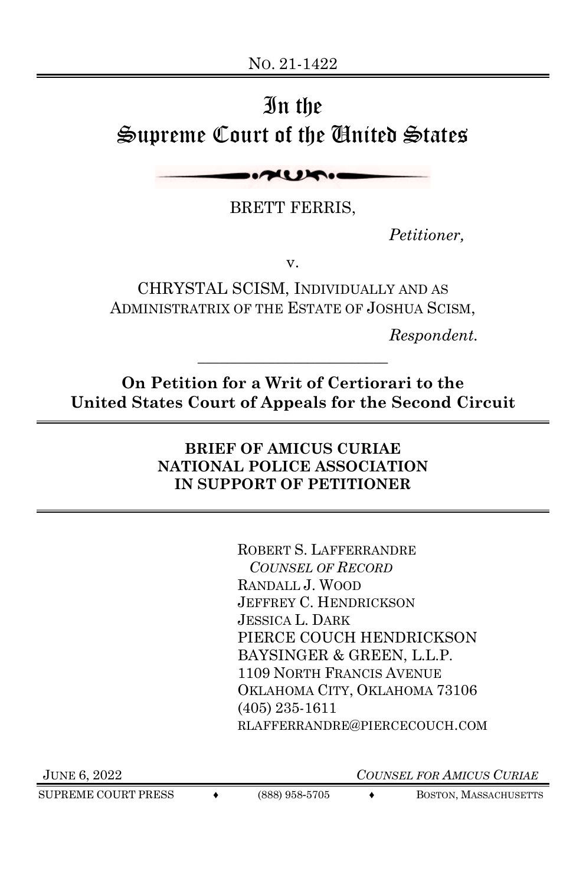# In the Supreme Court of the United States

AURIO

BRETT FERRIS,

*Petitioner,*

v.

CHRYSTAL SCISM, INDIVIDUALLY AND AS ADMINISTRATRIX OF THE ESTATE OF JOSHUA SCISM,

*Respondent.*

**On Petition for a Writ of Certiorari to the United States Court of Appeals for the Second Circuit**

\_\_\_\_\_\_\_\_\_\_\_\_\_\_\_\_\_\_\_\_\_\_\_\_\_\_

#### **BRIEF OF AMICUS CURIAE NATIONAL POLICE ASSOCIATION IN SUPPORT OF PETITIONER**

ROBERT S. LAFFERRANDRE *COUNSEL OF RECORD*  RANDALL J. WOOD JEFFREY C. HENDRICKSON JESSICA L. DARK PIERCE COUCH HENDRICKSON BAYSINGER & GREEN, L.L.P. 1109 NORTH FRANCIS AVENUE OKLAHOMA CITY, OKLAHOMA 73106 (405) 235-1611 RLAFFERRANDRE@PIERCECOUCH.COM

SUPREME COURT PRESS  $\leftrightarrow$  (888) 958-5705  $\leftrightarrow$  Boston, Massachusetts

JUNE 6, 2022 *COUNSEL FOR AMICUS CURIAE*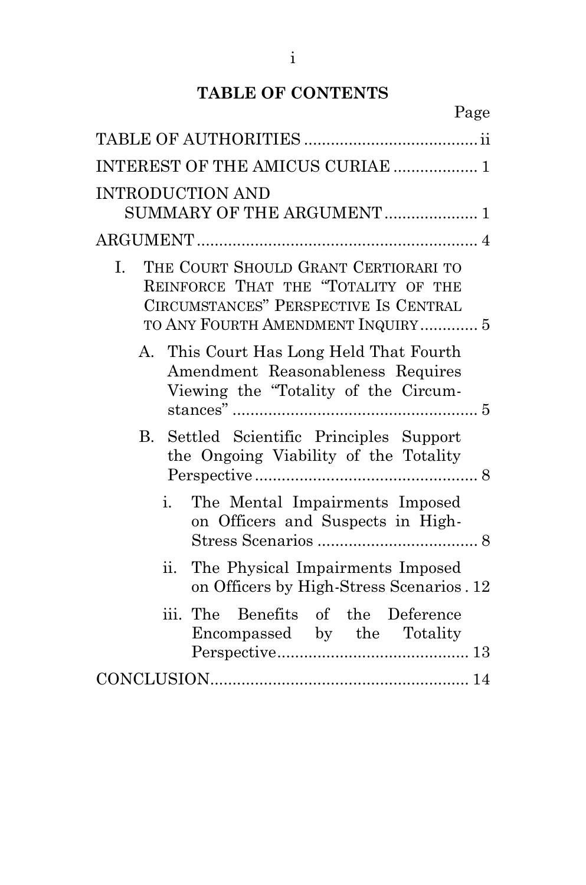# **TABLE OF CONTENTS**

Page

| INTEREST OF THE AMICUS CURIAE  1                                                                                                                                |
|-----------------------------------------------------------------------------------------------------------------------------------------------------------------|
| <b>INTRODUCTION AND</b><br>SUMMARY OF THE ARGUMENT  1                                                                                                           |
|                                                                                                                                                                 |
| THE COURT SHOULD GRANT CERTIORARI TO<br>L.<br>REINFORCE THAT THE "TOTALITY OF THE<br>CIRCUMSTANCES" PERSPECTIVE IS CENTRAL<br>TO ANY FOURTH AMENDMENT INQUIRY 5 |
| A. This Court Has Long Held That Fourth<br>Amendment Reasonableness Requires<br>Viewing the "Totality of the Circum-                                            |
| Settled Scientific Principles Support<br>B.<br>the Ongoing Viability of the Totality                                                                            |
| i.<br>The Mental Impairments Imposed<br>on Officers and Suspects in High-                                                                                       |
| The Physical Impairments Imposed<br>ii.<br>on Officers by High-Stress Scenarios. 12                                                                             |
| iii.<br>The Benefits of the Deference<br>Encompassed by the Totality                                                                                            |
|                                                                                                                                                                 |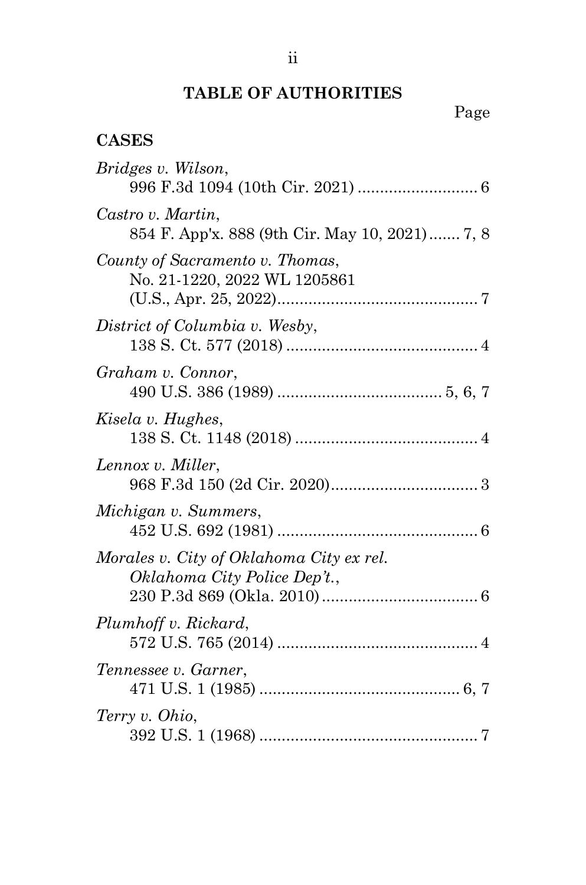# **TABLE OF AUTHORITIES**

# **CASES**

| Bridges v. Wilson,                                                       |
|--------------------------------------------------------------------------|
| Castro v. Martin,<br>854 F. App'x. 888 (9th Cir. May 10, 2021) 7, 8      |
| County of Sacramento v. Thomas,<br>No. 21-1220, 2022 WL 1205861          |
| District of Columbia v. Wesby,                                           |
| Graham v. Connor,                                                        |
| Kisela v. Hughes,                                                        |
| Lennox v. Miller,                                                        |
| Michigan v. Summers,                                                     |
| Morales v. City of Oklahoma City ex rel.<br>Oklahoma City Police Dep't., |
| Plumhoff v. Rickard,                                                     |
| Tennessee v. Garner,                                                     |
| Terry v. Ohio,                                                           |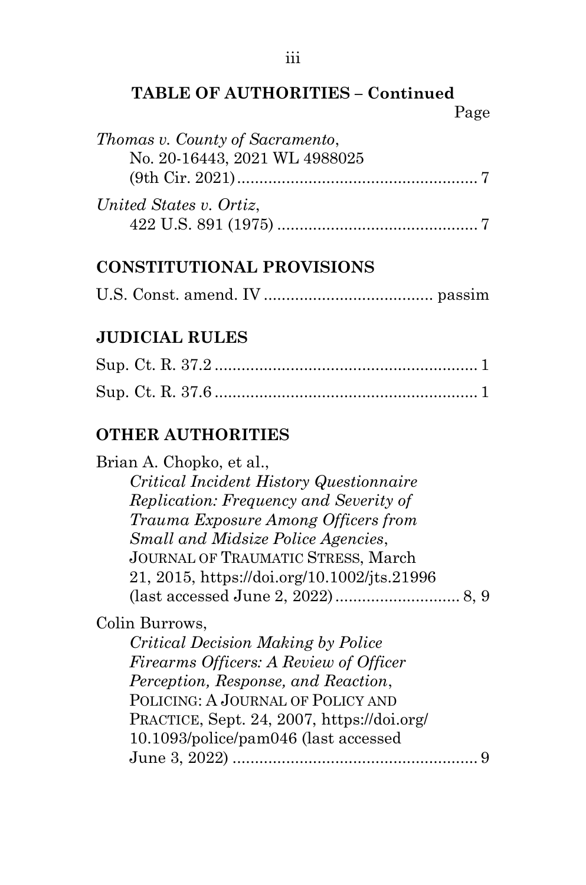#### **TABLE OF AUTHORITIES – Continued** Page

| Thomas v. County of Sacramento, |  |
|---------------------------------|--|
| No. 20-16443, 2021 WL 4988025   |  |
|                                 |  |
| United States v. Ortiz,         |  |

#### **CONSTITUTIONAL PROVISIONS**

|--|--|--|--|--|

# **JUDICIAL RULES**

## **OTHER AUTHORITIES**

Brian A. Chopko, et al., *Critical Incident History Questionnaire Replication: Frequency and Severity of Trauma Exposure Among Officers from Small and Midsize Police Agencies*, JOURNAL OF TRAUMATIC STRESS, March 21, 2015, https://doi.org/10.1002/jts.21996 (last accessed June 2, 2022)............................ 8, 9

Colin Burrows,

*Critical Decision Making by Police Firearms Officers: A Review of Officer Perception, Response, and Reaction*, POLICING: A JOURNAL OF POLICY AND PRACTICE, Sept. 24, 2007, https://doi.org/ 10.1093/police/pam046 (last accessed June 3, 2022) ....................................................... 9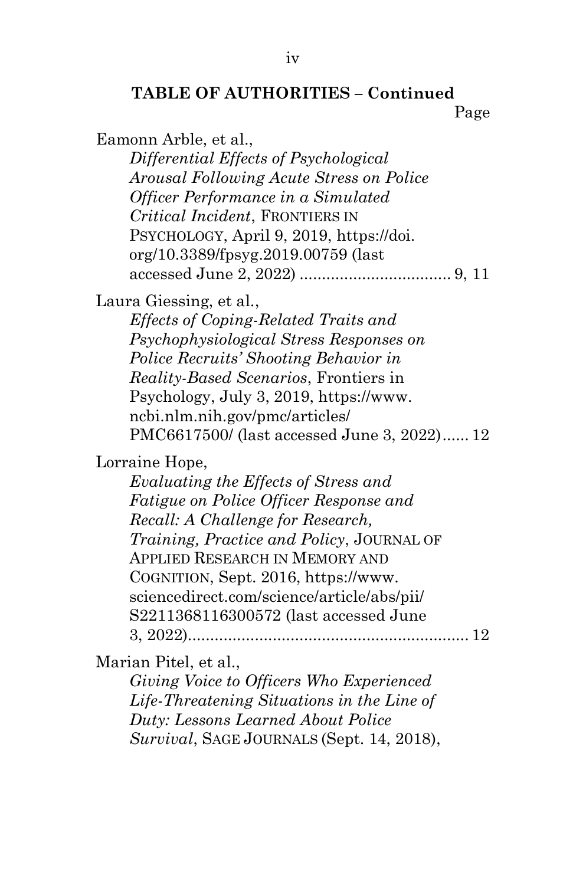# **TABLE OF AUTHORITIES – Continued**

Page

Eamonn Arble, et al.,

*Differential Effects of Psychological Arousal Following Acute Stress on Police Officer Performance in a Simulated Critical Incident*, FRONTIERS IN PSYCHOLOGY, April 9, 2019, https://doi. org/10.3389/fpsyg.2019.00759 (last accessed June 2, 2022) .................................. 9, 11

Laura Giessing, et al*.*,

*Effects of Coping-Related Traits and Psychophysiological Stress Responses on Police Recruits' Shooting Behavior in Reality-Based Scenarios*, Frontiers in Psychology, July 3, 2019, https://www. ncbi.nlm.nih.gov/pmc/articles/ PMC6617500/ (last accessed June 3, 2022)...... 12

Lorraine Hope,

*Evaluating the Effects of Stress and Fatigue on Police Officer Response and Recall: A Challenge for Research, Training, Practice and Policy*, JOURNAL OF APPLIED RESEARCH IN MEMORY AND COGNITION, Sept. 2016, https://www. sciencedirect.com/science/article/abs/pii/ S2211368116300572 (last accessed June 3, 2022)............................................................... 12

Marian Pitel, et al.,

*Giving Voice to Officers Who Experienced Life-Threatening Situations in the Line of Duty: Lessons Learned About Police Survival*, SAGE JOURNALS (Sept. 14, 2018),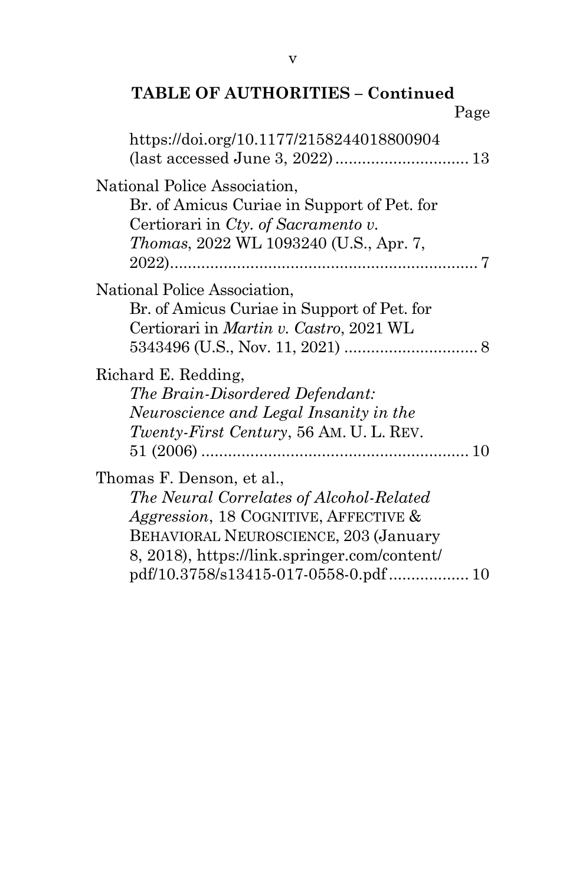#### **TABLE OF AUTHORITIES – Continued** Page

| https://doi.org/10.1177/2158244018800904                                                                                                                                                                        |  |
|-----------------------------------------------------------------------------------------------------------------------------------------------------------------------------------------------------------------|--|
|                                                                                                                                                                                                                 |  |
| National Police Association,<br>Br. of Amicus Curiae in Support of Pet. for<br>Certiorari in Cty. of Sacramento v.<br><i>Thomas</i> , 2022 WL 1093240 (U.S., Apr. 7,                                            |  |
| National Police Association,<br>Br. of Amicus Curiae in Support of Pet. for<br>Certiorari in <i>Martin v. Castro</i> , 2021 WL                                                                                  |  |
| Richard E. Redding,<br>The Brain-Disordered Defendant:<br>Neuroscience and Legal Insanity in the<br>Twenty-First Century, 56 AM. U. L. REV.                                                                     |  |
| Thomas F. Denson, et al.,<br>The Neural Correlates of Alcohol-Related<br><i>Aggression</i> , 18 COGNITIVE, AFFECTIVE &<br>BEHAVIORAL NEUROSCIENCE, 203 (January<br>8, 2018), https://link.springer.com/content/ |  |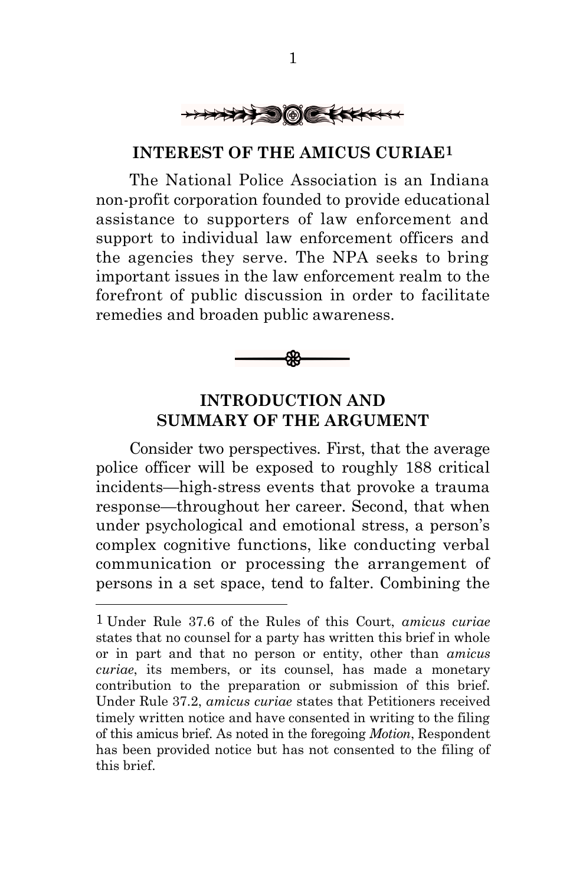

#### **INTEREST OF THE AMICUS CURIAE1**

The National Police Association is an Indiana non-profit corporation founded to provide educational assistance to supporters of law enforcement and support to individual law enforcement officers and the agencies they serve. The NPA seeks to bring important issues in the law enforcement realm to the forefront of public discussion in order to facilitate remedies and broaden public awareness.



# **INTRODUCTION AND SUMMARY OF THE ARGUMENT**

Consider two perspectives. First, that the average police officer will be exposed to roughly 188 critical incidents—high-stress events that provoke a trauma response—throughout her career. Second, that when under psychological and emotional stress, a person's complex cognitive functions, like conducting verbal communication or processing the arrangement of persons in a set space, tend to falter. Combining the

<sup>1</sup> Under Rule 37.6 of the Rules of this Court, *amicus curiae* states that no counsel for a party has written this brief in whole or in part and that no person or entity, other than *amicus curiae*, its members, or its counsel, has made a monetary contribution to the preparation or submission of this brief. Under Rule 37.2, *amicus curiae* states that Petitioners received timely written notice and have consented in writing to the filing of this amicus brief. As noted in the foregoing *Motion*, Respondent has been provided notice but has not consented to the filing of this brief.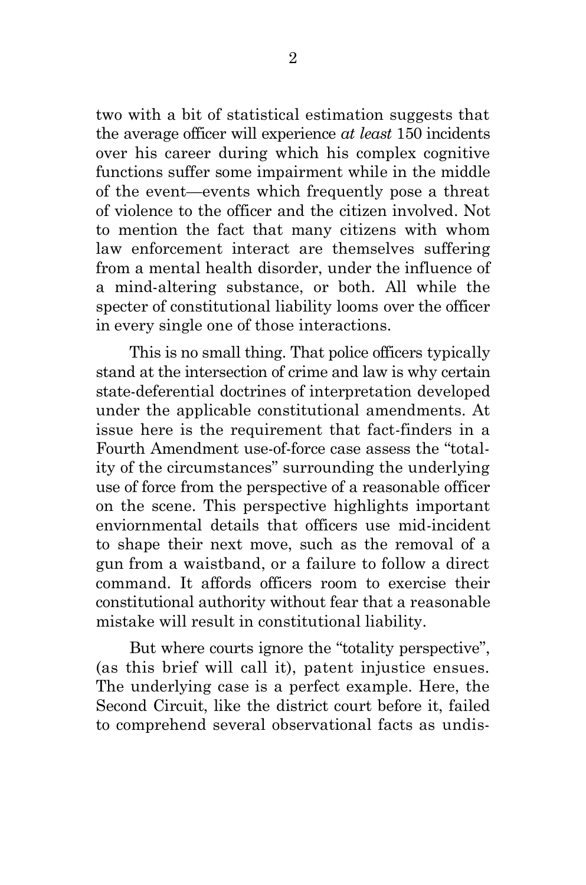two with a bit of statistical estimation suggests that the average officer will experience *at least* 150 incidents over his career during which his complex cognitive functions suffer some impairment while in the middle of the event—events which frequently pose a threat of violence to the officer and the citizen involved. Not to mention the fact that many citizens with whom law enforcement interact are themselves suffering from a mental health disorder, under the influence of a mind-altering substance, or both. All while the specter of constitutional liability looms over the officer in every single one of those interactions.

This is no small thing. That police officers typically stand at the intersection of crime and law is why certain state-deferential doctrines of interpretation developed under the applicable constitutional amendments. At issue here is the requirement that fact-finders in a Fourth Amendment use-of-force case assess the "totality of the circumstances" surrounding the underlying use of force from the perspective of a reasonable officer on the scene. This perspective highlights important enviornmental details that officers use mid-incident to shape their next move, such as the removal of a gun from a waistband, or a failure to follow a direct command. It affords officers room to exercise their constitutional authority without fear that a reasonable mistake will result in constitutional liability.

But where courts ignore the "totality perspective", (as this brief will call it), patent injustice ensues. The underlying case is a perfect example. Here, the Second Circuit, like the district court before it, failed to comprehend several observational facts as undis-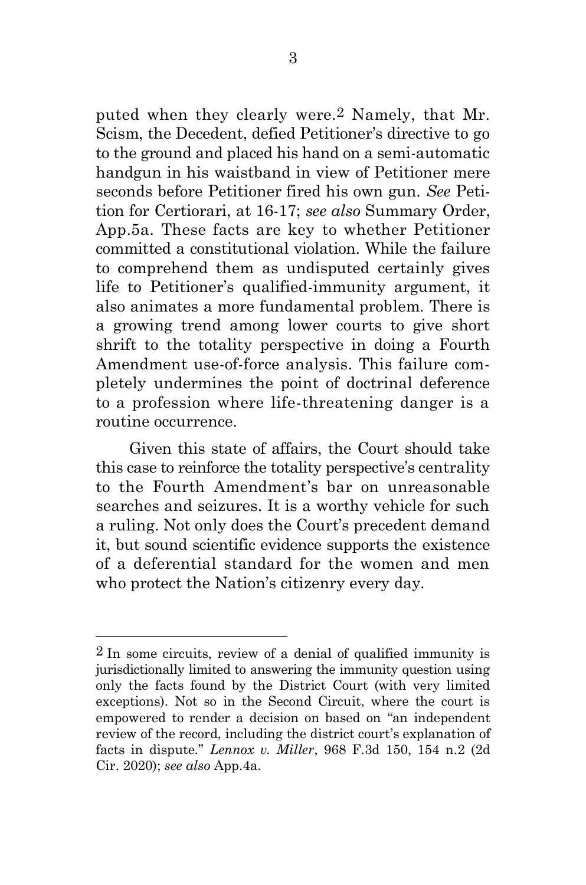puted when they clearly were.2 Namely, that Mr. Scism, the Decedent, defied Petitioner's directive to go to the ground and placed his hand on a semi-automatic handgun in his waistband in view of Petitioner mere seconds before Petitioner fired his own gun. *See* Petition for Certiorari, at 16-17; *see also* Summary Order, App.5a. These facts are key to whether Petitioner committed a constitutional violation. While the failure to comprehend them as undisputed certainly gives life to Petitioner's qualified-immunity argument, it also animates a more fundamental problem. There is a growing trend among lower courts to give short shrift to the totality perspective in doing a Fourth Amendment use-of-force analysis. This failure completely undermines the point of doctrinal deference to a profession where life-threatening danger is a routine occurrence.

Given this state of affairs, the Court should take this case to reinforce the totality perspective's centrality to the Fourth Amendment's bar on unreasonable searches and seizures. It is a worthy vehicle for such a ruling. Not only does the Court's precedent demand it, but sound scientific evidence supports the existence of a deferential standard for the women and men who protect the Nation's citizenry every day.

 $2 \text{ In some circuits, review of a denial of qualified immunity is}$ jurisdictionally limited to answering the immunity question using only the facts found by the District Court (with very limited exceptions). Not so in the Second Circuit, where the court is empowered to render a decision on based on "an independent review of the record, including the district court's explanation of facts in dispute." *Lennox v. Miller*, 968 F.3d 150, 154 n.2 (2d Cir. 2020); *see also* App.4a.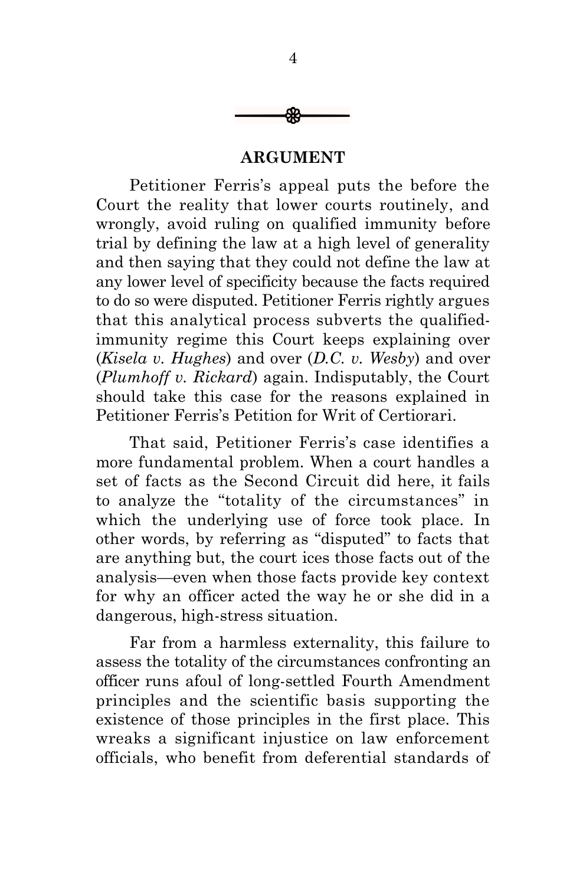

#### **ARGUMENT**

Petitioner Ferris's appeal puts the before the Court the reality that lower courts routinely, and wrongly, avoid ruling on qualified immunity before trial by defining the law at a high level of generality and then saying that they could not define the law at any lower level of specificity because the facts required to do so were disputed. Petitioner Ferris rightly argues that this analytical process subverts the qualifiedimmunity regime this Court keeps explaining over (*Kisela v. Hughes*) and over (*D.C. v. Wesby*) and over (*Plumhoff v. Rickard*) again. Indisputably, the Court should take this case for the reasons explained in Petitioner Ferris's Petition for Writ of Certiorari.

That said, Petitioner Ferris's case identifies a more fundamental problem. When a court handles a set of facts as the Second Circuit did here, it fails to analyze the "totality of the circumstances" in which the underlying use of force took place. In other words, by referring as "disputed" to facts that are anything but, the court ices those facts out of the analysis—even when those facts provide key context for why an officer acted the way he or she did in a dangerous, high-stress situation.

Far from a harmless externality, this failure to assess the totality of the circumstances confronting an officer runs afoul of long-settled Fourth Amendment principles and the scientific basis supporting the existence of those principles in the first place. This wreaks a significant injustice on law enforcement officials, who benefit from deferential standards of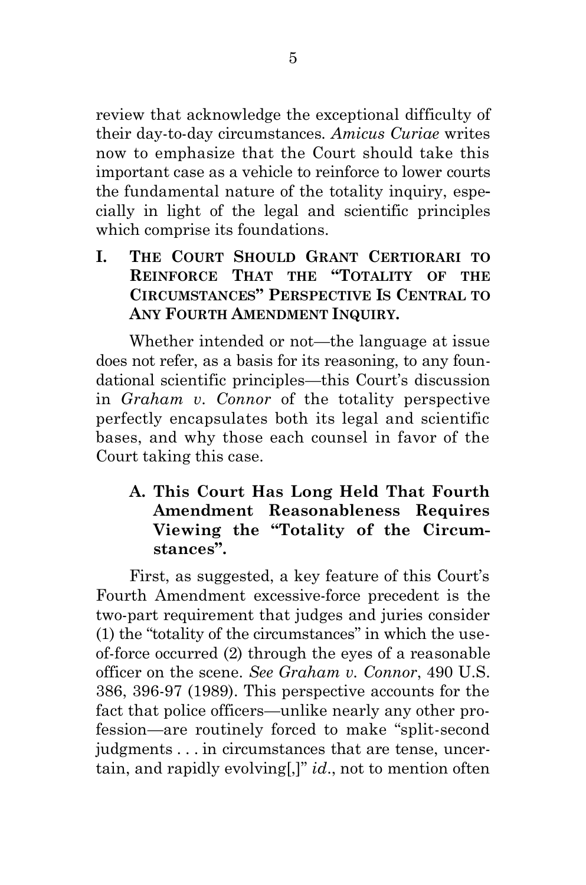review that acknowledge the exceptional difficulty of their day-to-day circumstances. *Amicus Curiae* writes now to emphasize that the Court should take this important case as a vehicle to reinforce to lower courts the fundamental nature of the totality inquiry, especially in light of the legal and scientific principles which comprise its foundations.

**I. THE COURT SHOULD GRANT CERTIORARI TO REINFORCE THAT THE "TOTALITY OF THE CIRCUMSTANCES" PERSPECTIVE IS CENTRAL TO ANY FOURTH AMENDMENT INQUIRY.**

Whether intended or not—the language at issue does not refer, as a basis for its reasoning, to any foundational scientific principles—this Court's discussion in *Graham v. Connor* of the totality perspective perfectly encapsulates both its legal and scientific bases, and why those each counsel in favor of the Court taking this case.

## **A. This Court Has Long Held That Fourth Amendment Reasonableness Requires Viewing the "Totality of the Circumstances".**

First, as suggested, a key feature of this Court's Fourth Amendment excessive-force precedent is the two-part requirement that judges and juries consider (1) the "totality of the circumstances" in which the useof-force occurred (2) through the eyes of a reasonable officer on the scene. *See Graham v. Connor*, 490 U.S. 386, 396-97 (1989). This perspective accounts for the fact that police officers—unlike nearly any other profession—are routinely forced to make "split-second judgments . . . in circumstances that are tense, uncertain, and rapidly evolving[,]" *id*., not to mention often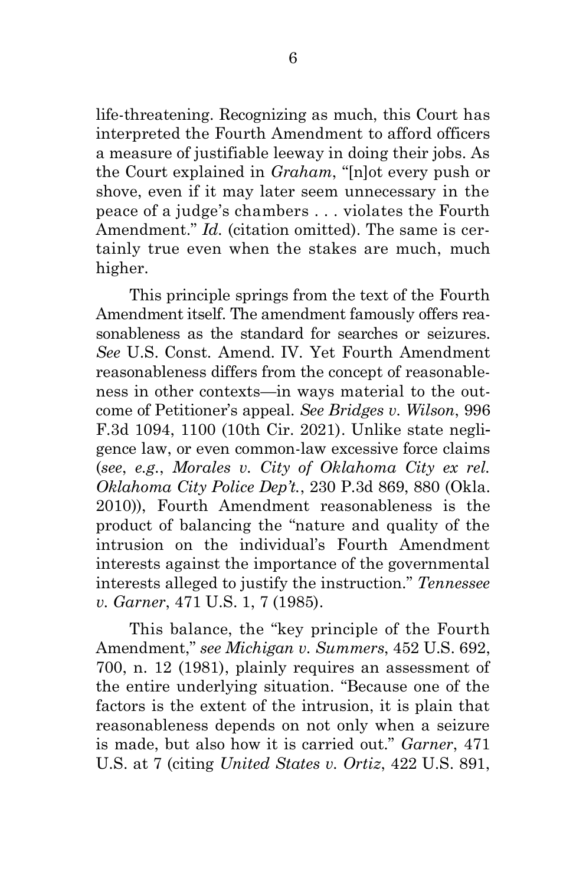life-threatening. Recognizing as much, this Court has interpreted the Fourth Amendment to afford officers a measure of justifiable leeway in doing their jobs. As the Court explained in *Graham*, "[n]ot every push or shove, even if it may later seem unnecessary in the peace of a judge's chambers . . . violates the Fourth Amendment." *Id.* (citation omitted). The same is certainly true even when the stakes are much, much higher.

This principle springs from the text of the Fourth Amendment itself. The amendment famously offers reasonableness as the standard for searches or seizures. *See* U.S. Const. Amend. IV. Yet Fourth Amendment reasonableness differs from the concept of reasonableness in other contexts—in ways material to the outcome of Petitioner's appeal. *See Bridges v. Wilson*, 996 F.3d 1094, 1100 (10th Cir. 2021). Unlike state negligence law, or even common-law excessive force claims (*see*, *e.g.*, *Morales v. City of Oklahoma City ex rel. Oklahoma City Police Dep't.*, 230 P.3d 869, 880 (Okla. 2010)), Fourth Amendment reasonableness is the product of balancing the "nature and quality of the intrusion on the individual's Fourth Amendment interests against the importance of the governmental interests alleged to justify the instruction." *Tennessee v. Garner*, 471 U.S. 1, 7 (1985).

This balance, the "key principle of the Fourth Amendment," *see Michigan v. Summers*, 452 U.S. 692, 700, n. 12 (1981), plainly requires an assessment of the entire underlying situation. "Because one of the factors is the extent of the intrusion, it is plain that reasonableness depends on not only when a seizure is made, but also how it is carried out." *Garner*, 471 U.S. at 7 (citing *United States v. Ortiz*, 422 U.S. 891,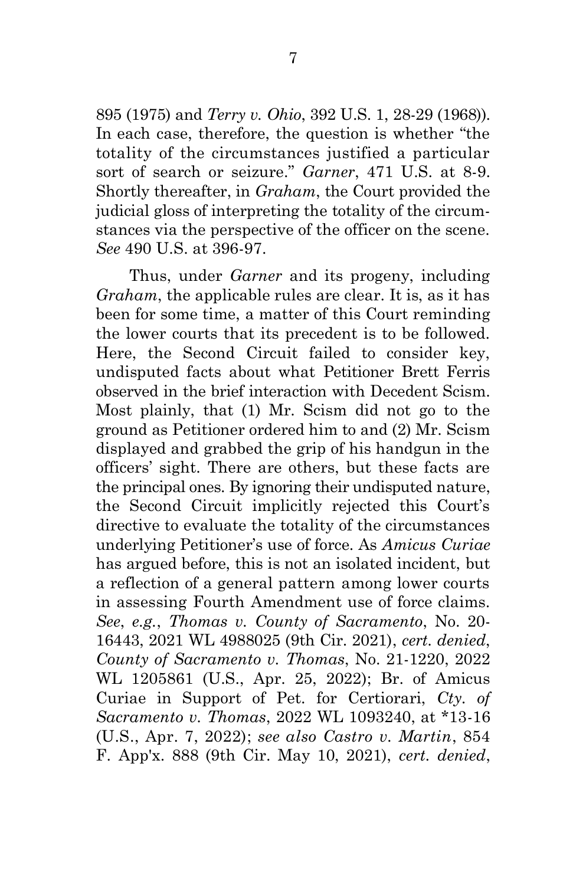895 (1975) and *Terry v. Ohio*, 392 U.S. 1, 28-29 (1968)). In each case, therefore, the question is whether "the totality of the circumstances justified a particular sort of search or seizure." *Garner*, 471 U.S. at 8-9. Shortly thereafter, in *Graham*, the Court provided the judicial gloss of interpreting the totality of the circumstances via the perspective of the officer on the scene. *See* 490 U.S. at 396-97.

Thus, under *Garner* and its progeny, including *Graham*, the applicable rules are clear. It is, as it has been for some time, a matter of this Court reminding the lower courts that its precedent is to be followed. Here, the Second Circuit failed to consider key, undisputed facts about what Petitioner Brett Ferris observed in the brief interaction with Decedent Scism. Most plainly, that (1) Mr. Scism did not go to the ground as Petitioner ordered him to and (2) Mr. Scism displayed and grabbed the grip of his handgun in the officers' sight. There are others, but these facts are the principal ones. By ignoring their undisputed nature, the Second Circuit implicitly rejected this Court's directive to evaluate the totality of the circumstances underlying Petitioner's use of force. As *Amicus Curiae*  has argued before, this is not an isolated incident, but a reflection of a general pattern among lower courts in assessing Fourth Amendment use of force claims. *See*, *e.g.*, *Thomas v. County of Sacramento*, No. 20- 16443, 2021 WL 4988025 (9th Cir. 2021), *cert. denied*, *County of Sacramento v. Thomas*, No. 21-1220, 2022 WL 1205861 (U.S., Apr. 25, 2022); Br. of Amicus Curiae in Support of Pet. for Certiorari, *Cty. of Sacramento v. Thomas*, 2022 WL 1093240, at \*13-16 (U.S., Apr. 7, 2022); *see also Castro v. Martin*, 854 F. App'x. 888 (9th Cir. May 10, 2021), *cert. denied*,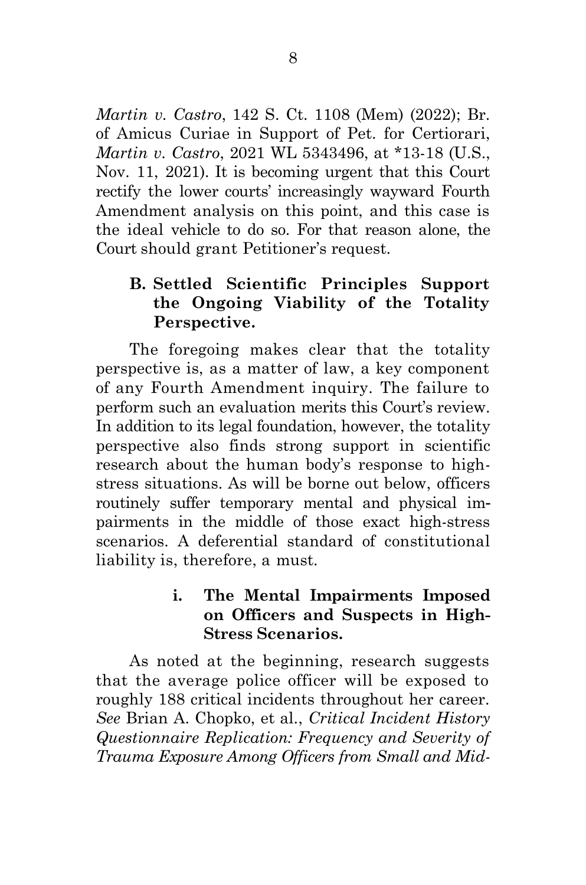*Martin v. Castro*, 142 S. Ct. 1108 (Mem) (2022); Br. of Amicus Curiae in Support of Pet. for Certiorari, *Martin v. Castro*, 2021 WL 5343496, at \*13-18 (U.S., Nov. 11, 2021). It is becoming urgent that this Court rectify the lower courts' increasingly wayward Fourth Amendment analysis on this point, and this case is the ideal vehicle to do so. For that reason alone, the Court should grant Petitioner's request.

# **B. Settled Scientific Principles Support the Ongoing Viability of the Totality Perspective.**

The foregoing makes clear that the totality perspective is, as a matter of law, a key component of any Fourth Amendment inquiry. The failure to perform such an evaluation merits this Court's review. In addition to its legal foundation, however, the totality perspective also finds strong support in scientific research about the human body's response to highstress situations. As will be borne out below, officers routinely suffer temporary mental and physical impairments in the middle of those exact high-stress scenarios. A deferential standard of constitutional liability is, therefore, a must.

# **i. The Mental Impairments Imposed on Officers and Suspects in High-Stress Scenarios.**

As noted at the beginning, research suggests that the average police officer will be exposed to roughly 188 critical incidents throughout her career. *See* Brian A. Chopko, et al., *Critical Incident History Questionnaire Replication: Frequency and Severity of Trauma Exposure Among Officers from Small and Mid-*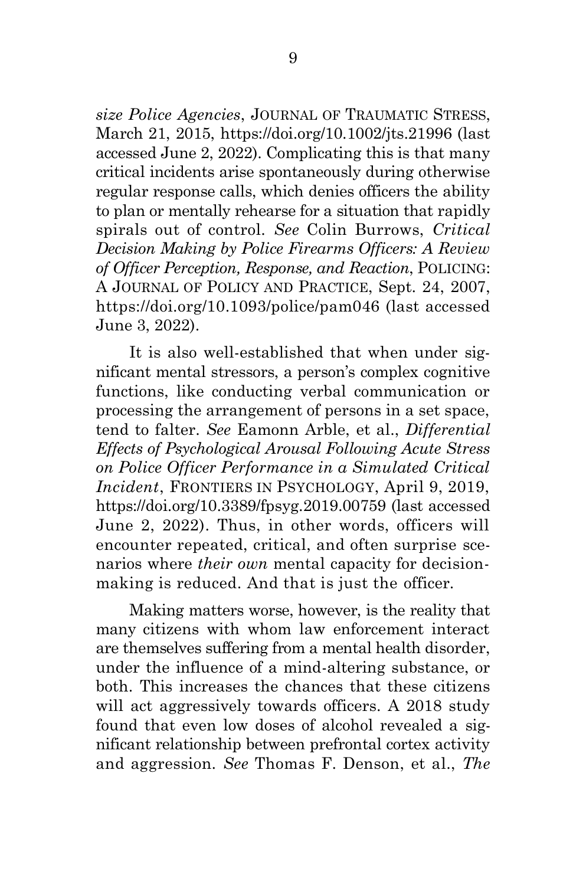*size Police Agencies*, JOURNAL OF TRAUMATIC STRESS, March 21, 2015, https://doi.org/10.1002/jts.21996 (last accessed June 2, 2022). Complicating this is that many critical incidents arise spontaneously during otherwise regular response calls, which denies officers the ability to plan or mentally rehearse for a situation that rapidly spirals out of control. *See* Colin Burrows, *Critical Decision Making by Police Firearms Officers: A Review of Officer Perception, Response, and Reaction*, POLICING: A JOURNAL OF POLICY AND PRACTICE, Sept. 24, 2007, https://doi.org/10.1093/police/pam046 (last accessed June 3, 2022).

It is also well-established that when under significant mental stressors, a person's complex cognitive functions, like conducting verbal communication or processing the arrangement of persons in a set space, tend to falter. *See* Eamonn Arble, et al., *Differential Effects of Psychological Arousal Following Acute Stress on Police Officer Performance in a Simulated Critical Incident*, FRONTIERS IN PSYCHOLOGY, April 9, 2019, https://doi.org/10.3389/fpsyg.2019.00759 (last accessed June 2, 2022). Thus, in other words, officers will encounter repeated, critical, and often surprise scenarios where *their own* mental capacity for decisionmaking is reduced. And that is just the officer.

Making matters worse, however, is the reality that many citizens with whom law enforcement interact are themselves suffering from a mental health disorder, under the influence of a mind-altering substance, or both. This increases the chances that these citizens will act aggressively towards officers. A 2018 study found that even low doses of alcohol revealed a significant relationship between prefrontal cortex activity and aggression. *See* Thomas F. Denson, et al., *The*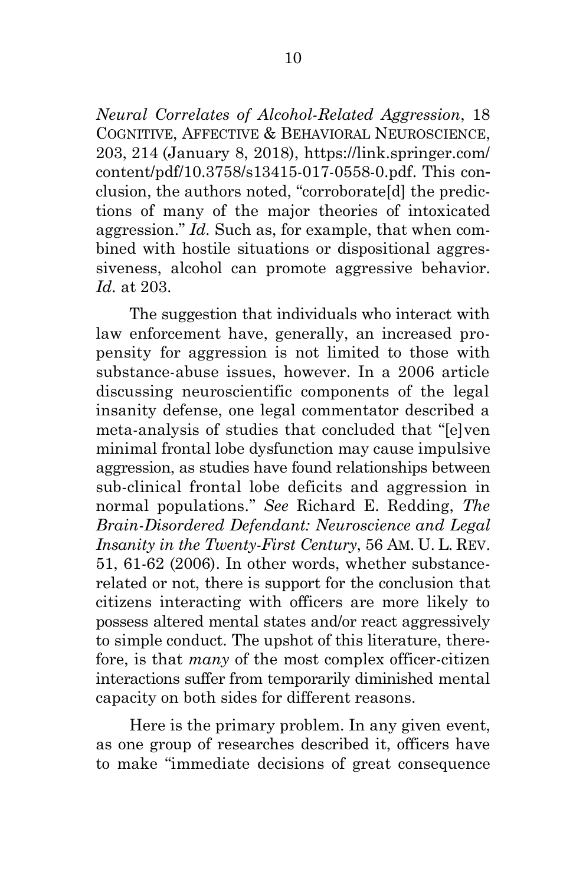*Neural Correlates of Alcohol-Related Aggression*, 18 COGNITIVE, AFFECTIVE & BEHAVIORAL NEUROSCIENCE, 203, 214 (January 8, 2018), https://link.springer.com/ content/pdf/10.3758/s13415-017-0558-0.pdf. This conclusion, the authors noted, "corroborate[d] the predictions of many of the major theories of intoxicated aggression." *Id.* Such as, for example, that when combined with hostile situations or dispositional aggressiveness, alcohol can promote aggressive behavior. *Id.* at 203.

The suggestion that individuals who interact with law enforcement have, generally, an increased propensity for aggression is not limited to those with substance-abuse issues, however. In a 2006 article discussing neuroscientific components of the legal insanity defense, one legal commentator described a meta-analysis of studies that concluded that "[e]ven minimal frontal lobe dysfunction may cause impulsive aggression, as studies have found relationships between sub-clinical frontal lobe deficits and aggression in normal populations." *See* Richard E. Redding, *The Brain-Disordered Defendant: Neuroscience and Legal Insanity in the Twenty-First Century*, 56 AM. U. L. REV. 51, 61-62 (2006). In other words, whether substancerelated or not, there is support for the conclusion that citizens interacting with officers are more likely to possess altered mental states and/or react aggressively to simple conduct. The upshot of this literature, therefore, is that *many* of the most complex officer-citizen interactions suffer from temporarily diminished mental capacity on both sides for different reasons.

Here is the primary problem. In any given event, as one group of researches described it, officers have to make "immediate decisions of great consequence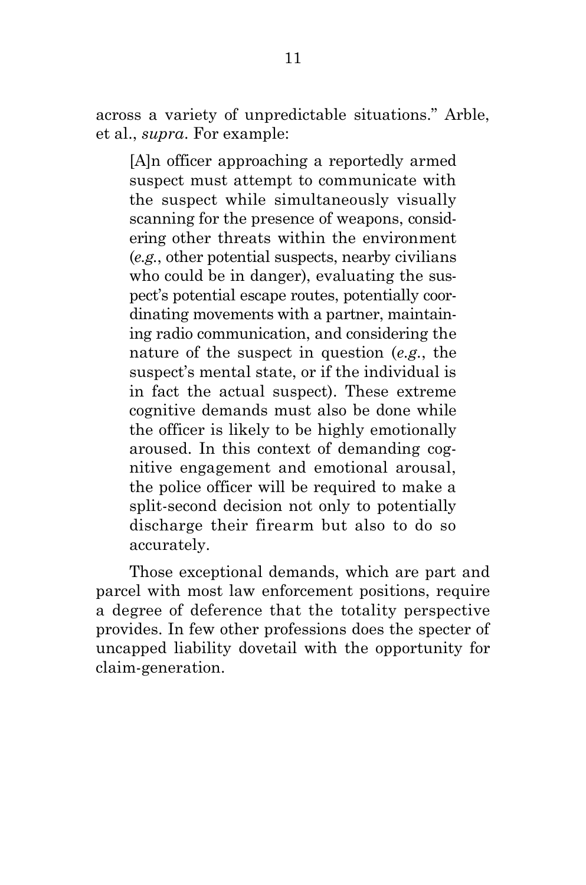across a variety of unpredictable situations." Arble, et al., *supra*. For example:

[A]n officer approaching a reportedly armed suspect must attempt to communicate with the suspect while simultaneously visually scanning for the presence of weapons, considering other threats within the environment (*e.g.*, other potential suspects, nearby civilians who could be in danger), evaluating the suspect's potential escape routes, potentially coordinating movements with a partner, maintaining radio communication, and considering the nature of the suspect in question (*e.g.*, the suspect's mental state, or if the individual is in fact the actual suspect). These extreme cognitive demands must also be done while the officer is likely to be highly emotionally aroused. In this context of demanding cognitive engagement and emotional arousal, the police officer will be required to make a split-second decision not only to potentially discharge their firearm but also to do so accurately.

Those exceptional demands, which are part and parcel with most law enforcement positions, require a degree of deference that the totality perspective provides. In few other professions does the specter of uncapped liability dovetail with the opportunity for claim-generation.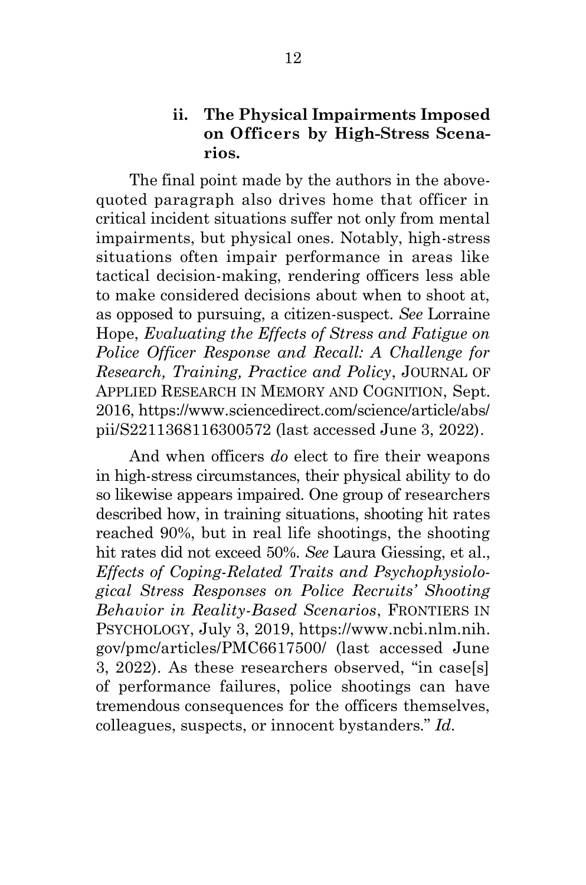## **ii. The Physical Impairments Imposed on Officers by High-Stress Scenarios.**

The final point made by the authors in the abovequoted paragraph also drives home that officer in critical incident situations suffer not only from mental impairments, but physical ones. Notably, high-stress situations often impair performance in areas like tactical decision-making, rendering officers less able to make considered decisions about when to shoot at, as opposed to pursuing, a citizen-suspect. *See* Lorraine Hope, *Evaluating the Effects of Stress and Fatigue on Police Officer Response and Recall: A Challenge for Research, Training, Practice and Policy*, JOURNAL OF APPLIED RESEARCH IN MEMORY AND COGNITION, Sept. 2016, https://www.sciencedirect.com/science/article/abs/ pii/S2211368116300572 (last accessed June 3, 2022).

And when officers *do* elect to fire their weapons in high-stress circumstances, their physical ability to do so likewise appears impaired. One group of researchers described how, in training situations, shooting hit rates reached 90%, but in real life shootings, the shooting hit rates did not exceed 50%. *See* Laura Giessing, et al., *Effects of Coping-Related Traits and Psychophysiological Stress Responses on Police Recruits' Shooting Behavior in Reality-Based Scenarios*, FRONTIERS IN PSYCHOLOGY, July 3, 2019, https://www.ncbi.nlm.nih. gov/pmc/articles/PMC6617500/ (last accessed June 3, 2022). As these researchers observed, "in case[s] of performance failures, police shootings can have tremendous consequences for the officers themselves, colleagues, suspects, or innocent bystanders." *Id.*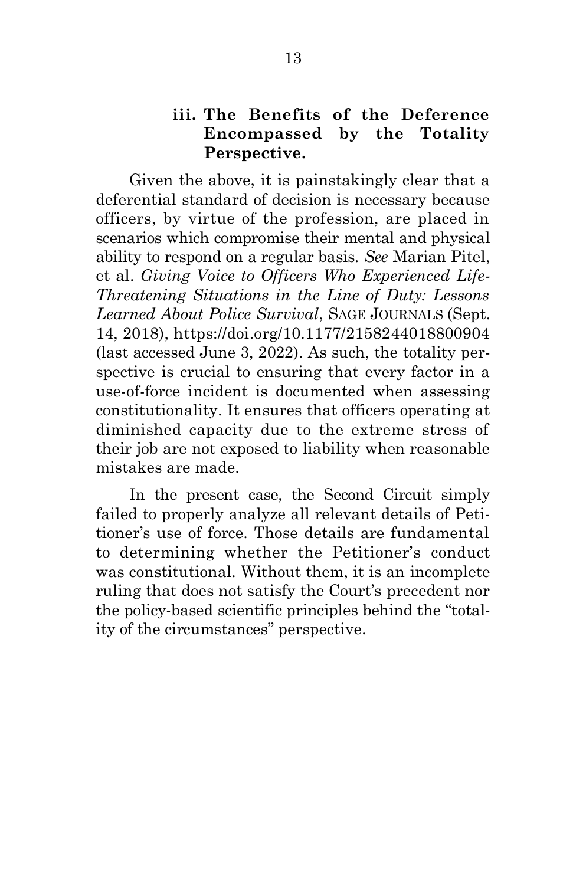#### **iii. The Benefits of the Deference Encompassed by the Totality Perspective.**

Given the above, it is painstakingly clear that a deferential standard of decision is necessary because officers, by virtue of the profession, are placed in scenarios which compromise their mental and physical ability to respond on a regular basis. *See* Marian Pitel, et al. *Giving Voice to Officers Who Experienced Life-Threatening Situations in the Line of Duty: Lessons Learned About Police Survival*, SAGE JOURNALS (Sept. 14, 2018), https://doi.org/10.1177/2158244018800904 (last accessed June 3, 2022). As such, the totality perspective is crucial to ensuring that every factor in a use-of-force incident is documented when assessing constitutionality. It ensures that officers operating at diminished capacity due to the extreme stress of their job are not exposed to liability when reasonable mistakes are made.

In the present case, the Second Circuit simply failed to properly analyze all relevant details of Petitioner's use of force. Those details are fundamental to determining whether the Petitioner's conduct was constitutional. Without them, it is an incomplete ruling that does not satisfy the Court's precedent nor the policy-based scientific principles behind the "totality of the circumstances" perspective.